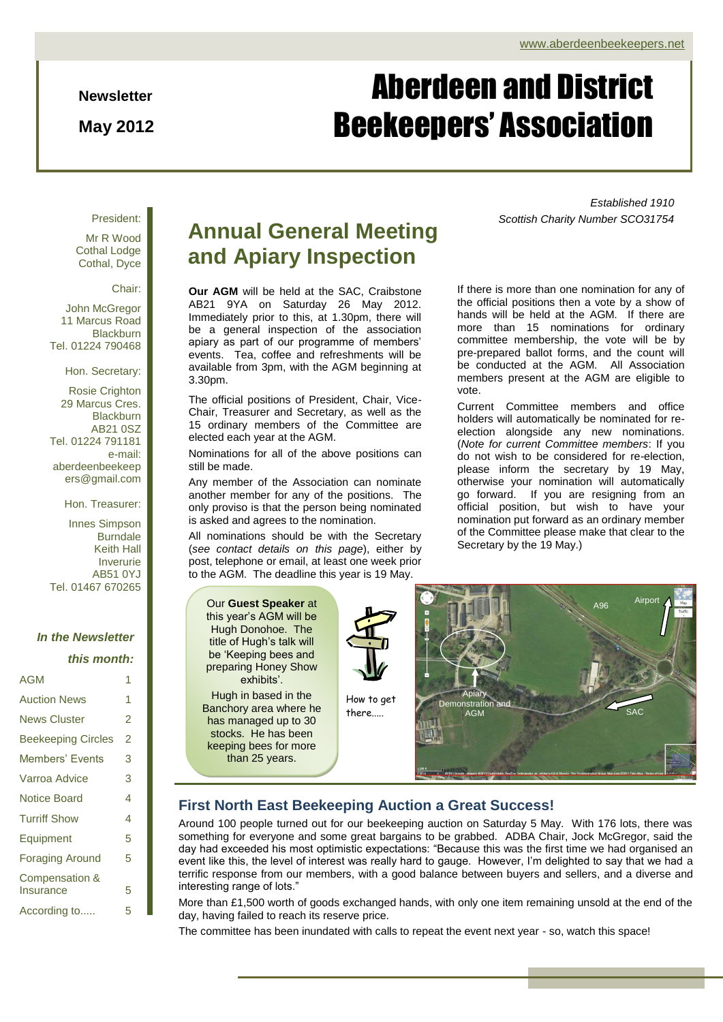#### **Newsletter**

**May 2012**

# Aberdeen and District Beekeepers' Association

#### President:

Mr R Wood Cothal Lodge Cothal, Dyce

#### Chair:

John McGregor 11 Marcus Road **Blackburn** Tel. 01224 790468

Hon. Secretary:

Rosie Crighton 29 Marcus Cres. **Blackburn** AB21 0SZ Tel. 01224 791181 e-mail: aberdeenbeekeep ers@gmail.com

Hon. Treasurer:

Innes Simpson Burndale Keith Hall Inverurie AB51 0YJ Tel. 01467 670265

#### *In the Newsletter*

*this month:*

| AGM                                    | 1 |
|----------------------------------------|---|
| <b>Auction News</b>                    | 1 |
| News Cluster                           | 2 |
| <b>Beekeeping Circles</b>              | 2 |
| Members' Events                        | 3 |
| Varroa Advice                          | 3 |
| Notice Board                           | 4 |
| <b>Turriff Show</b>                    | 4 |
| Equipment                              | 5 |
| <b>Foraging Around</b>                 | 5 |
| <b>Compensation &amp;</b><br>Insurance | 5 |
| According to                           | 5 |

## **Annual General Meeting and Apiary Inspection**

**Our AGM** will be held at the SAC, Craibstone AB21 9YA on Saturday 26 May 2012. Immediately prior to this, at 1.30pm, there will be a general inspection of the association apiary as part of our programme of members' events. Tea, coffee and refreshments will be available from 3pm, with the AGM beginning at 3.30pm.

The official positions of President, Chair, Vice-Chair, Treasurer and Secretary, as well as the 15 ordinary members of the Committee are elected each year at the AGM.

Nominations for all of the above positions can still be made.

Any member of the Association can nominate another member for any of the positions. The only proviso is that the person being nominated is asked and agrees to the nomination.

All nominations should be with the Secretary (*see contact details on this page*), either by post, telephone or email, at least one week prior to the AGM. The deadline this year is 19 May.

*Established 1910 Scottish Charity Number SCO31754*

If there is more than one nomination for any of the official positions then a vote by a show of hands will be held at the AGM. If there are more than 15 nominations for ordinary committee membership, the vote will be by pre-prepared ballot forms, and the count will be conducted at the AGM. All Association members present at the AGM are eligible to vote.

Current Committee members and office holders will automatically be nominated for reelection alongside any new nominations. (*Note for current Committee members*: If you do not wish to be considered for re-election, please inform the secretary by 19 May, otherwise your nomination will automatically go forward. If you are resigning from an official position, but wish to have your nomination put forward as an ordinary member of the Committee please make that clear to the Secretary by the 19 May.)

Our **Guest Speaker** at this year's AGM will be Hugh Donohoe. The title of Hugh's talk will be 'Keeping bees and preparing Honey Show exhibits'.

Hugh in based in the Banchory area where he has managed up to 30 stocks. He has been keeping bees for more than 25 years.



How to get there.....



#### **First North East Beekeeping Auction a Great Success!**

Around 100 people turned out for our beekeeping auction on Saturday 5 May. With 176 lots, there was something for everyone and some great bargains to be grabbed. ADBA Chair, Jock McGregor, said the day had exceeded his most optimistic expectations: "Because this was the first time we had organised an event like this, the level of interest was really hard to gauge. However, I'm delighted to say that we had a terrific response from our members, with a good balance between buyers and sellers, and a diverse and interesting range of lots."

More than £1,500 worth of goods exchanged hands, with only one item remaining unsold at the end of the day, having failed to reach its reserve price.

The committee has been inundated with calls to repeat the event next year - so, watch this space!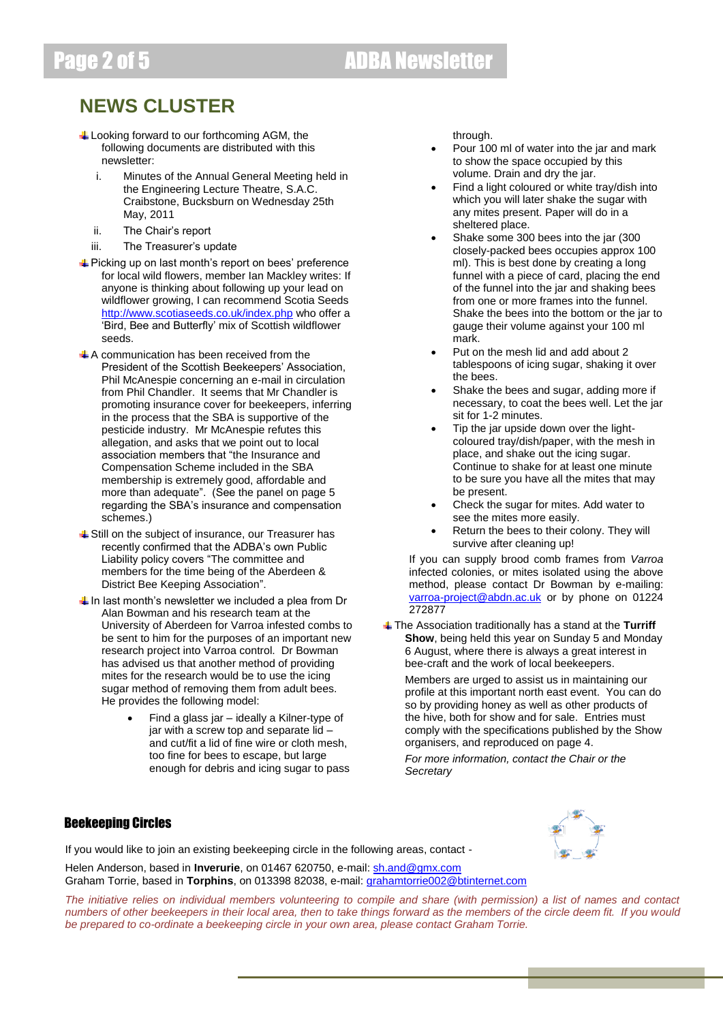## **NEWS CLUSTER**

- $\ddot{+}$  Looking forward to our forthcoming AGM, the following documents are distributed with this newsletter:
	- i. Minutes of the Annual General Meeting held in the Engineering Lecture Theatre, S.A.C. Craibstone, Bucksburn on Wednesday 25th May, 2011
	- ii. The Chair's report
	- iii. The Treasurer's update
- **↓** Picking up on last month's report on bees' preference for local wild flowers, member Ian Mackley writes: If anyone is thinking about following up your lead on wildflower growing, I can recommend Scotia Seeds <http://www.scotiaseeds.co.uk/index.php> who offer a 'Bird, Bee and Butterfly' mix of Scottish wildflower seeds.
- $\triangle$  A communication has been received from the President of the Scottish Beekeepers' Association, Phil McAnespie concerning an e-mail in circulation from Phil Chandler. It seems that Mr Chandler is promoting insurance cover for beekeepers, inferring in the process that the SBA is supportive of the pesticide industry. Mr McAnespie refutes this allegation, and asks that we point out to local association members that "the Insurance and Compensation Scheme included in the SBA membership is extremely good, affordable and more than adequate". (See the panel on page 5 regarding the SBA's insurance and compensation schemes.)
- $\ddot$  Still on the subject of insurance, our Treasurer has recently confirmed that the ADBA's own Public Liability policy covers "The committee and members for the time being of the Aberdeen & District Bee Keeping Association".
- $\downarrow$  In last month's newsletter we included a plea from Dr Alan Bowman and his research team at the University of Aberdeen for Varroa infested combs to be sent to him for the purposes of an important new research project into Varroa control. Dr Bowman has advised us that another method of providing mites for the research would be to use the icing sugar method of removing them from adult bees. He provides the following model:
	- Find a glass jar ideally a Kilner-type of jar with a screw top and separate lid – and cut/fit a lid of fine wire or cloth mesh, too fine for bees to escape, but large enough for debris and icing sugar to pass

through.

- Pour 100 ml of water into the jar and mark to show the space occupied by this volume. Drain and dry the jar.
- Find a light coloured or white tray/dish into which you will later shake the sugar with any mites present. Paper will do in a sheltered place.
- Shake some 300 bees into the jar (300 closely-packed bees occupies approx 100 ml). This is best done by creating a long funnel with a piece of card, placing the end of the funnel into the jar and shaking bees from one or more frames into the funnel. Shake the bees into the bottom or the jar to gauge their volume against your 100 ml mark.
- Put on the mesh lid and add about 2 tablespoons of icing sugar, shaking it over the bees.
- Shake the bees and sugar, adding more if necessary, to coat the bees well. Let the jar sit for 1-2 minutes.
- Tip the jar upside down over the lightcoloured tray/dish/paper, with the mesh in place, and shake out the icing sugar. Continue to shake for at least one minute to be sure you have all the mites that may be present.
- Check the sugar for mites. Add water to see the mites more easily.
- Return the bees to their colony. They will survive after cleaning up!

If you can supply brood comb frames from *Varroa* infected colonies, or mites isolated using the above method, please contact Dr Bowman by e-mailing: [varroa-project@abdn.ac.uk](mailto:varroa-project@abdn.ac.uk) or by phone on 01224 272877

The Association traditionally has a stand at the **Turriff Show**, being held this year on Sunday 5 and Monday 6 August, where there is always a great interest in bee-craft and the work of local beekeepers.

Members are urged to assist us in maintaining our profile at this important north east event. You can do so by providing honey as well as other products of the hive, both for show and for sale. Entries must comply with the specifications published by the Show organisers, and reproduced on page 4.

*For more information, contact the Chair or the Secretary*

### Beekeeping Circles

If you would like to join an existing beekeeping circle in the following areas, contact -

Helen Anderson, based in **Inverurie**, on 01467 620750, e-mail: [sh.and@gmx.com](mailto:sh.and@gmx.com) Graham Torrie, based in **Torphins**, on 013398 82038, e-mail[: grahamtorrie002@btinternet.com](mailto:grahamtorrie002@btinternet.com)

*The initiative relies on individual members volunteering to compile and share (with permission) a list of names and contact numbers of other beekeepers in their local area, then to take things forward as the members of the circle deem fit. If you would be prepared to co-ordinate a beekeeping circle in your own area, please contact Graham Torrie.*

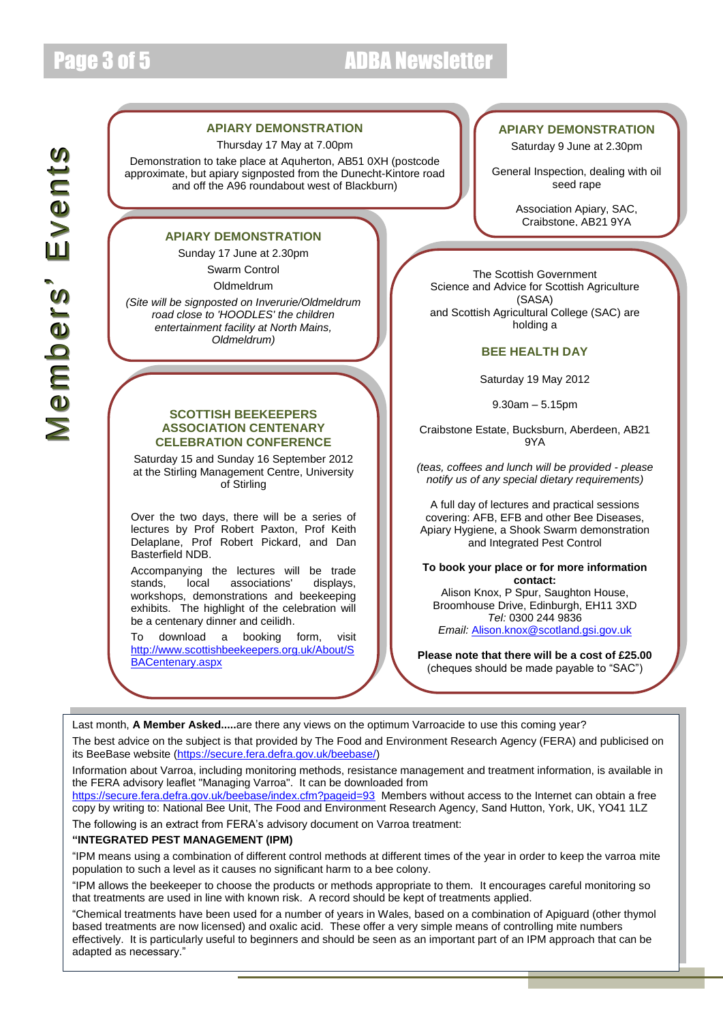## Page 3 of 5 ADBA Newsletter

## $\geq$  $\bf \Phi$  $\Xi$ <u>lo</u>  $\bf \Phi$  $\equiv$ ัษ<br>``  $\geq$  $\bf \Phi$  $\blacksquare$ t**JO**

#### **APIARY DEMONSTRATION**

Thursday 17 May at 7.00pm

Demonstration to take place at Aquherton, AB51 0XH (postcode approximate, but apiary signposted from the Dunecht-Kintore road and off the A96 roundabout west of Blackburn)

#### **APIARY DEMONSTRATION**

Sunday 17 June at 2.30pm Swarm Control Oldmeldrum

*(Site will be signposted on Inverurie/Oldmeldrum road close to 'HOODLES' the children entertainment facility at North Mains, Oldmeldrum)*

#### **SCOTTISH BEEKEEPERS ASSOCIATION CENTENARY CELEBRATION CONFERENCE**

Saturday 15 and Sunday 16 September 2012 at the Stirling Management Centre, University of Stirling

Over the two days, there will be a series of lectures by Prof Robert Paxton, Prof Keith Delaplane, Prof Robert Pickard, and Dan Basterfield NDB.

Accompanying the lectures will be trade stands, local associations' displays, workshops, demonstrations and beekeeping exhibits. The highlight of the celebration will be a centenary dinner and ceilidh.

To download a booking form, visit [http://www.scottishbeekeepers.org.uk/About/S](http://www.scottishbeekeepers.org.uk/About/SBACentenary.aspx) [BACentenary.aspx](http://www.scottishbeekeepers.org.uk/About/SBACentenary.aspx)

#### **APIARY DEMONSTRATION**

Saturday 9 June at 2.30pm

General Inspection, dealing with oil seed rape

> Association Apiary, SAC, Craibstone, AB21 9YA

The Scottish Government Science and Advice for Scottish Agriculture (SASA) and Scottish Agricultural College (SAC) are holding a

#### **BEE HEALTH DAY**

Saturday 19 May 2012

9.30am – 5.15pm

Craibstone Estate, Bucksburn, Aberdeen, AB21 9YA

*(teas, coffees and lunch will be provided - please notify us of any special dietary requirements)*

A full day of lectures and practical sessions covering: AFB, EFB and other Bee Diseases, Apiary Hygiene, a Shook Swarm demonstration and Integrated Pest Control

**To book your place or for more information contact:** 

Alison Knox, P Spur, Saughton House, Broomhouse Drive, Edinburgh, EH11 3XD *Tel:* 0300 244 9836

*Email:* [Alison.knox@scotland.gsi.gov.uk](mailto:Alison.knox@scotland.gsi.gov.uk)

**Please note that there will be a cost of £25.00**  (cheques should be made payable to "SAC")

Last month, **A Member Asked.....**are there any views on the optimum Varroacide to use this coming year?

The best advice on the subject is that provided by The Food and Environment Research Agency (FERA) and publicised on its BeeBase website [\(https://secure.fera.defra.gov.uk/beebase/\)](https://secure.fera.defra.gov.uk/beebase/)

Information about Varroa, including monitoring methods, resistance management and treatment information, is available in the FERA advisory leaflet "Managing Varroa". It can be downloaded from

<https://secure.fera.defra.gov.uk/beebase/index.cfm?pageid=93>Members without access to the Internet can obtain a free copy by writing to: National Bee Unit, The Food and Environment Research Agency, Sand Hutton, York, UK, YO41 1LZ The following is an extract from FERA's advisory document on Varroa treatment:

#### **"INTEGRATED PEST MANAGEMENT (IPM)**

"IPM means using a combination of different control methods at different times of the year in order to keep the varroa mite population to such a level as it causes no significant harm to a bee colony.

"IPM allows the beekeeper to choose the products or methods appropriate to them. It encourages careful monitoring so that treatments are used in line with known risk. A record should be kept of treatments applied.

"Chemical treatments have been used for a number of years in Wales, based on a combination of Apiguard (other thymol based treatments are now licensed) and oxalic acid. These offer a very simple means of controlling mite numbers effectively. It is particularly useful to beginners and should be seen as an important part of an IPM approach that can be adapted as necessary."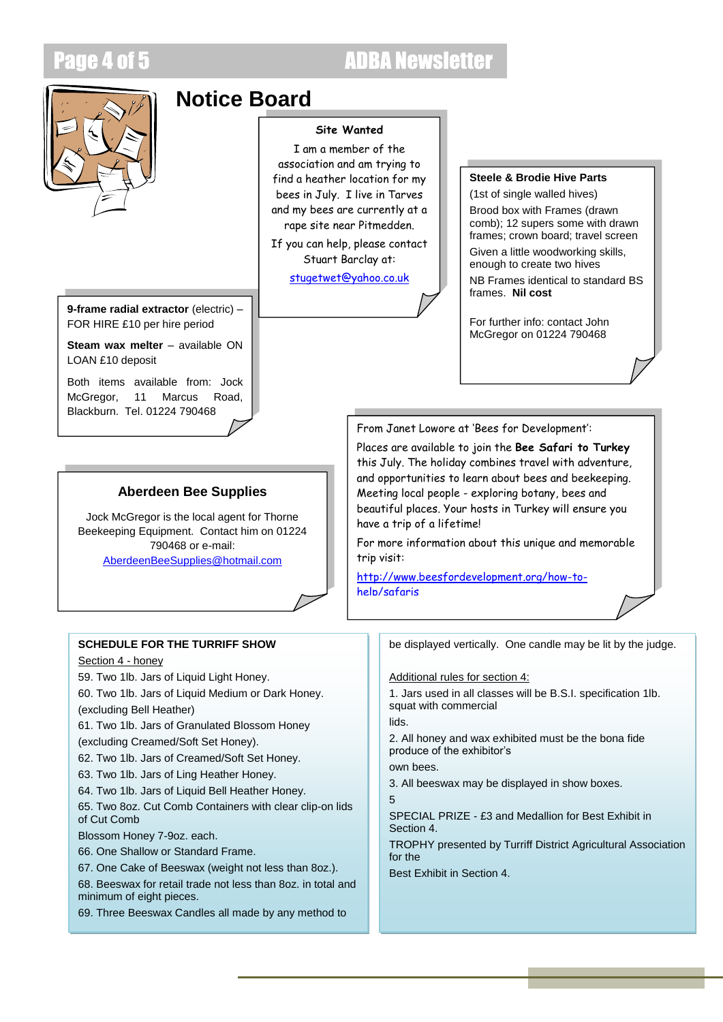## **ADBA Newsletter**



## **Notice Board**

#### **Site Wanted**

I am a member of the association and am trying to find a heather location for my bees in July. I live in Tarves and my bees are currently at a rape site near Pitmedden.

If you can help, please contact Stuart Barclay at:

[stugetwet@yahoo.co.uk](mailto:stugetwet@yahoo.co.uk)

#### **Steele & Brodie Hive Parts**

(1st of single walled hives) Brood box with Frames (drawn

comb); 12 supers some with drawn frames; crown board; travel screen

Given a little woodworking skills, enough to create two hives

NB Frames identical to standard BS frames. **Nil cost**

For further info: contact John McGregor on 01224 790468

**9-frame radial extractor** (electric) – FOR HIRE £10 per hire period

**Steam wax melter** – available ON LOAN £10 deposit

Both items available from: Jock McGregor, 11 Marcus Road Blackburn. Tel. 01224 790468

### **Aberdeen Bee Supplies**

Jock McGregor is the local agent for Thorne Beekeeping Equipment. Contact him on 01224 790468 or e-mail: [AberdeenBeeSupplies@hotmail.com](mailto:AberdeenBeeSupplies@hotmail.com)

### **SCHEDULE FOR THE TURRIFF SHOW**

Section 4 - honey

59. Two 1lb. Jars of Liquid Light Honey.

60. Two 1lb. Jars of Liquid Medium or Dark Honey. (excluding Bell Heather)

61. Two 1lb. Jars of Granulated Blossom Honey

(excluding Creamed/Soft Set Honey).

62. Two 1lb. Jars of Creamed/Soft Set Honey.

63. Two 1lb. Jars of Ling Heather Honey.

64. Two 1lb. Jars of Liquid Bell Heather Honey.

65. Two 8oz. Cut Comb Containers with clear clip-on lids of Cut Comb

Blossom Honey 7-9oz. each.

66. One Shallow or Standard Frame.

67. One Cake of Beeswax (weight not less than 8oz.).

68. Beeswax for retail trade not less than 8oz. in total and minimum of eight pieces.

69. Three Beeswax Candles all made by any method to

From Janet Lowore at 'Bees for Development':

Places are available to join the **Bee Safari to Turkey** this July. The holiday combines travel with adventure, and opportunities to learn about bees and beekeeping. Meeting local people - exploring botany, bees and beautiful places. Your hosts in Turkey will ensure you have a trip of a lifetime!

For more information about this unique and memorable trip visit:

[http://www.beesfordevelopment.org/how-to](http://www.beesfordevelopment.org/how-to-help/safaris)[help/safaris](http://www.beesfordevelopment.org/how-to-help/safaris)

be displayed vertically. One candle may be lit by the judge.

Additional rules for section 4:

1. Jars used in all classes will be B.S.I. specification 1lb. squat with commercial

lids.

2. All honey and wax exhibited must be the bona fide produce of the exhibitor's

own bees.

3. All beeswax may be displayed in show boxes.

5

SPECIAL PRIZE - £3 and Medallion for Best Exhibit in Section 4.

TROPHY presented by Turriff District Agricultural Association for the

Best Exhibit in Section 4.